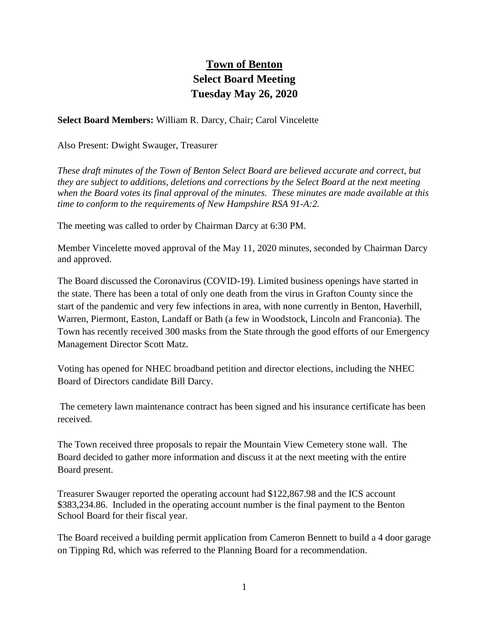## **Town of Benton Select Board Meeting Tuesday May 26, 2020**

**Select Board Members:** William R. Darcy, Chair; Carol Vincelette

Also Present: Dwight Swauger, Treasurer

*These draft minutes of the Town of Benton Select Board are believed accurate and correct, but they are subject to additions, deletions and corrections by the Select Board at the next meeting when the Board votes its final approval of the minutes. These minutes are made available at this time to conform to the requirements of New Hampshire RSA 91-A:2.*

The meeting was called to order by Chairman Darcy at 6:30 PM.

Member Vincelette moved approval of the May 11, 2020 minutes, seconded by Chairman Darcy and approved.

The Board discussed the Coronavirus (COVID-19). Limited business openings have started in the state. There has been a total of only one death from the virus in Grafton County since the start of the pandemic and very few infections in area, with none currently in Benton, Haverhill, Warren, Piermont, Easton, Landaff or Bath (a few in Woodstock, Lincoln and Franconia). The Town has recently received 300 masks from the State through the good efforts of our Emergency Management Director Scott Matz.

Voting has opened for NHEC broadband petition and director elections, including the NHEC Board of Directors candidate Bill Darcy.

The cemetery lawn maintenance contract has been signed and his insurance certificate has been received.

The Town received three proposals to repair the Mountain View Cemetery stone wall. The Board decided to gather more information and discuss it at the next meeting with the entire Board present.

Treasurer Swauger reported the operating account had \$122,867.98 and the ICS account \$383,234.86. Included in the operating account number is the final payment to the Benton School Board for their fiscal year.

The Board received a building permit application from Cameron Bennett to build a 4 door garage on Tipping Rd, which was referred to the Planning Board for a recommendation.